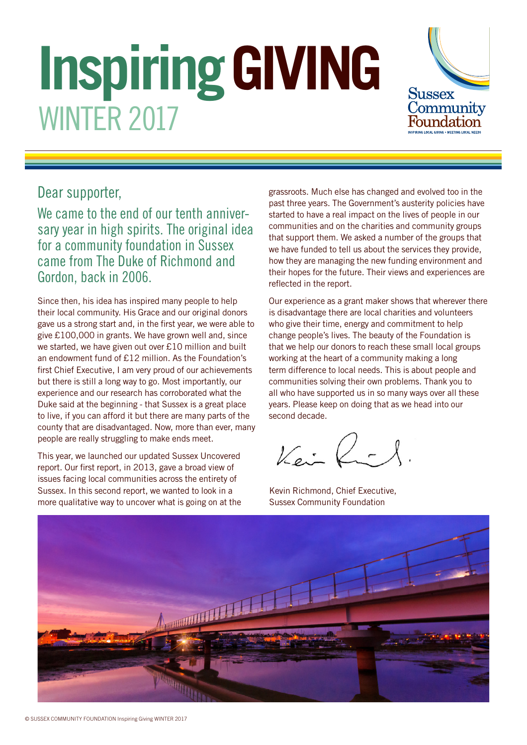# **Inspiring GIVING** WINTER 2017



## Dear supporter,

We came to the end of our tenth anniversary year in high spirits. The original idea for a community foundation in Sussex came from The Duke of Richmond and Gordon, back in 2006.

Since then, his idea has inspired many people to help their local community. His Grace and our original donors gave us a strong start and, in the first year, we were able to give £100,000 in grants. We have grown well and, since we started, we have given out over £10 million and built an endowment fund of £12 million. As the Foundation's first Chief Executive. I am very proud of our achievements but there is still a long way to go. Most importantly, our experience and our research has corroborated what the Duke said at the beginning - that Sussex is a great place to live, if you can afford it but there are many parts of the county that are disadvantaged. Now, more than ever, many people are really struggling to make ends meet.

This year, we launched our updated Sussex Uncovered report. Our first report, in 2013, gave a broad view of issues facing local communities across the entirety of Sussex. In this second report, we wanted to look in a more qualitative way to uncover what is going on at the grassroots. Much else has changed and evolved too in the past three years. The Government's austerity policies have started to have a real impact on the lives of people in our communities and on the charities and community groups that support them. We asked a number of the groups that we have funded to tell us about the services they provide, how they are managing the new funding environment and their hopes for the future. Their views and experiences are reflected in the report.

Our experience as a grant maker shows that wherever there is disadvantage there are local charities and volunteers who give their time, energy and commitment to help change people's lives. The beauty of the Foundation is that we help our donors to reach these small local groups working at the heart of a community making a long term difference to local needs. This is about people and communities solving their own problems. Thank you to all who have supported us in so many ways over all these years. Please keep on doing that as we head into our second decade.

Kein Rich

Kevin Richmond, Chief Executive, Sussex Community Foundation

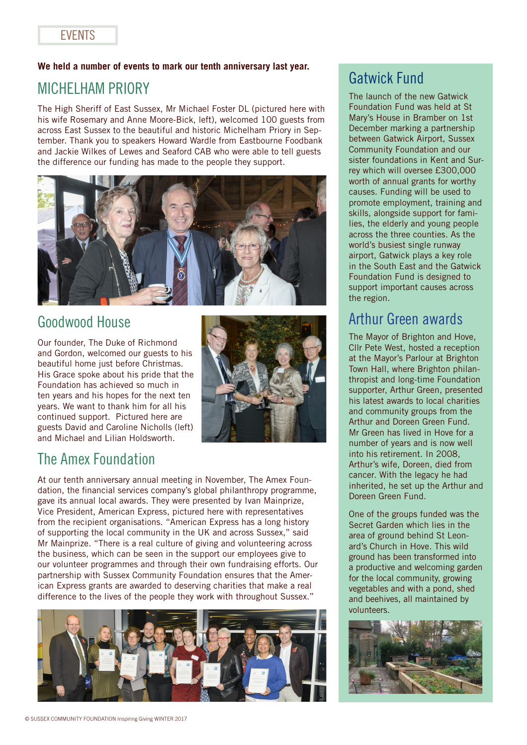#### **We held a number of events to mark our tenth anniversary last year.**

## MICHELHAM PRIORY

The High Sheriff of East Sussex, Mr Michael Foster DL (pictured here with his wife Rosemary and Anne Moore-Bick, left), welcomed 100 guests from across East Sussex to the beautiful and historic Michelham Priory in September. Thank you to speakers Howard Wardle from Eastbourne Foodbank and Jackie Wilkes of Lewes and Seaford CAB who were able to tell guests the difference our funding has made to the people they support.



## Goodwood House

Our founder, The Duke of Richmond and Gordon, welcomed our guests to his beautiful home just before Christmas. His Grace spoke about his pride that the Foundation has achieved so much in ten years and his hopes for the next ten years. We want to thank him for all his continued support. Pictured here are guests David and Caroline Nicholls (left) and Michael and Lilian Holdsworth.



## The Amex Foundation

At our tenth anniversary annual meeting in November, The Amex Foundation, the financial services company's global philanthropy programme, gave its annual local awards. They were presented by Ivan Mainprize, Vice President, American Express, pictured here with representatives from the recipient organisations. "American Express has a long history of supporting the local community in the UK and across Sussex," said Mr Mainprize. "There is a real culture of giving and volunteering across the business, which can be seen in the support our employees give to our volunteer programmes and through their own fundraising efforts. Our partnership with Sussex Community Foundation ensures that the American Express grants are awarded to deserving charities that make a real difference to the lives of the people they work with throughout Sussex."



## Gatwick Fund

The launch of the new Gatwick Foundation Fund was held at St Mary's House in Bramber on 1st December marking a partnership between Gatwick Airport, Sussex Community Foundation and our sister foundations in Kent and Surrey which will oversee £300,000 worth of annual grants for worthy causes. Funding will be used to promote employment, training and skills, alongside support for families, the elderly and young people across the three counties. As the world's busiest single runway airport, Gatwick plays a key role in the South East and the Gatwick Foundation Fund is designed to support important causes across the region.

## Arthur Green awards

The Mayor of Brighton and Hove, Cllr Pete West, hosted a reception at the Mayor's Parlour at Brighton Town Hall, where Brighton philanthropist and long-time Foundation supporter, Arthur Green, presented his latest awards to local charities and community groups from the Arthur and Doreen Green Fund. Mr Green has lived in Hove for a number of years and is now well into his retirement. In 2008, Arthur's wife, Doreen, died from cancer. With the legacy he had inherited, he set up the Arthur and Doreen Green Fund.

One of the groups funded was the Secret Garden which lies in the area of ground behind St Leonard's Church in Hove. This wild ground has been transformed into a productive and welcoming garden for the local community, growing vegetables and with a pond, shed and beehives, all maintained by volunteers.

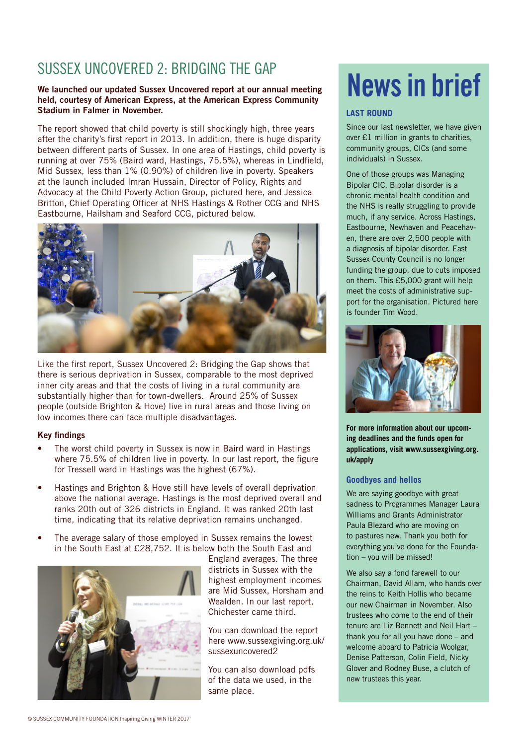## SUSSEX UNCOVERED 2: BRIDGING THE GAP

#### We launched our updated Sussex Uncovered report at our annual meeting held, courtesy of American Express, at the American Express Community Stadium in Falmer in November.

The report showed that child poverty is still shockingly high, three years after the charity's first report in 2013. In addition, there is huge disparity between different parts of Sussex. In one area of Hastings, child poverty is running at over 75% (Baird ward, Hastings, 75.5%), whereas in Lindfield, Mid Sussex, less than 1% (0.90%) of children live in poverty. Speakers at the launch included Imran Hussain, Director of Policy, Rights and Advocacy at the Child Poverty Action Group, pictured here, and Jessica Britton, Chief Operating Officer at NHS Hastings & Rother CCG and NHS Eastbourne, Hailsham and Seaford CCG, pictured below.



Like the first report, Sussex Uncovered 2: Bridging the Gap shows that there is serious deprivation in Sussex, comparable to the most deprived inner city areas and that the costs of living in a rural community are substantially higher than for town-dwellers. Around 25% of Sussex people (outside Brighton & Hove) live in rural areas and those living on low incomes there can face multiple disadvantages.

#### **Key findings**

- The worst child poverty in Sussex is now in Baird ward in Hastings where 75.5% of children live in poverty. In our last report, the figure for Tressell ward in Hastings was the highest (67%).
- Hastings and Brighton & Hove still have levels of overall deprivation above the national average. Hastings is the most deprived overall and ranks 20th out of 326 districts in England. It was ranked 20th last time, indicating that its relative deprivation remains unchanged.
- The average salary of those employed in Sussex remains the lowest in the South East at £28,752. It is below both the South East and



England averages. The three districts in Sussex with the highest employment incomes are Mid Sussex, Horsham and Wealden. In our last report, Chichester came third.

You can download the report here www.sussexgiving.org.uk/ sussexuncovered2

You can also download pdfs of the data we used, in the same place.

## News in brief

#### **LAST ROUND**

Since our last newsletter, we have given over £1 million in grants to charities, community groups, CICs (and some individuals) in Sussex.

One of those groups was Managing Bipolar CIC. Bipolar disorder is a chronic mental health condition and the NHS is really struggling to provide much, if any service. Across Hastings, Eastbourne, Newhaven and Peacehaven, there are over 2,500 people with a diagnosis of bipolar disorder. East Sussex County Council is no longer funding the group, due to cuts imposed on them. This £5,000 grant will help meet the costs of administrative support for the organisation. Pictured here is founder Tim Wood.



**For more information about our upcoming deadlines and the funds open for applications, visit www.sussexgiving.org. uk/apply**

#### **Goodbyes and hellos**

We are saying goodbye with great sadness to Programmes Manager Laura Williams and Grants Administrator Paula Blezard who are moving on to pastures new. Thank you both for everything you've done for the Foundation – you will be missed!

We also say a fond farewell to our Chairman, David Allam, who hands over the reins to Keith Hollis who became our new Chairman in November. Also trustees who come to the end of their tenure are Liz Bennett and Neil Hart – thank you for all you have done – and welcome aboard to Patricia Woolgar, Denise Patterson, Colin Field, Nicky Glover and Rodney Buse, a clutch of new trustees this year.